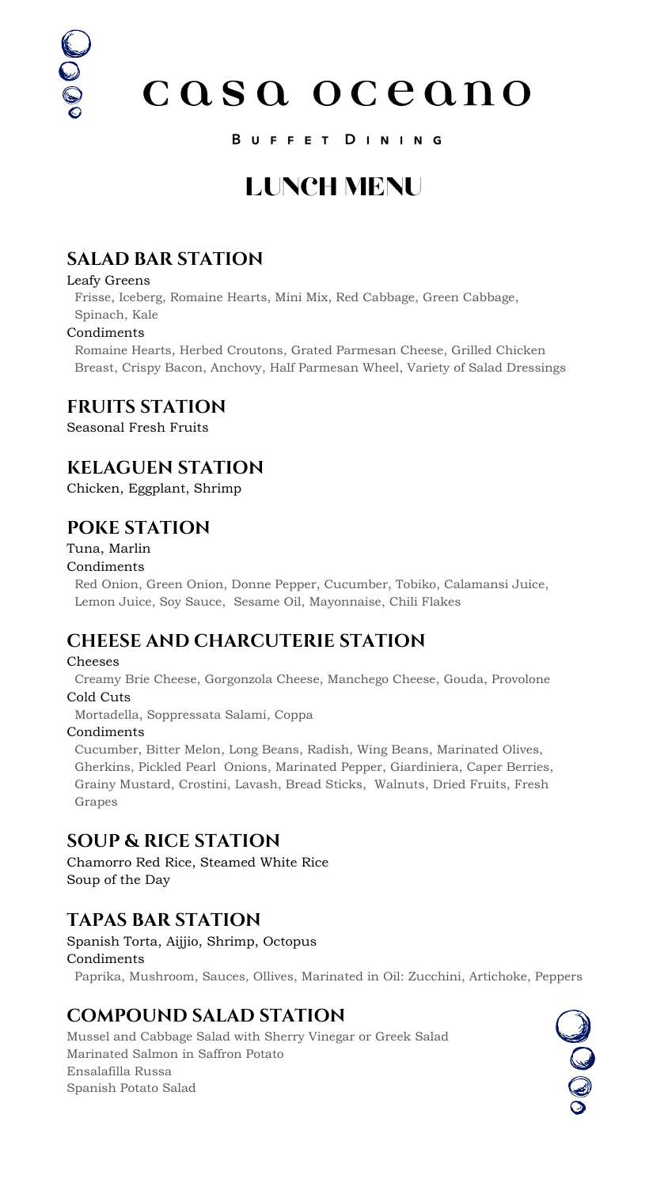# 0000

casa oceano

### B U F F E T D I N I N G

### **SALAD BAR STATION**

#### Leafy Greens

 Frisse, Iceberg, Romaine Hearts, Mini Mix, Red Cabbage, Green Cabbage, Spinach, Kale

### Condiments

 Romaine Hearts, Herbed Croutons, Grated Parmesan Cheese, Grilled Chicken Breast, Crispy Bacon, Anchovy, Half Parmesan Wheel, Variety of Salad Dressings

### **FRUITS STATION**

Seasonal Fresh Fruits

### **KELAGUEN STATION**

Chicken, Eggplant, Shrimp

### **POKE STATION**

Tuna, Marlin Condiments

 Red Onion, Green Onion, Donne Pepper, Cucumber, Tobiko, Calamansi Juice, Lemon Juice, Soy Sauce, Sesame Oil, Mayonnaise, Chili Flakes

### **CHEESE AND CHARCUTERIE STATION**

### Cheeses

 Creamy Brie Cheese, Gorgonzola Cheese, Manchego Cheese, Gouda, Provolone Cold Cuts Mortadella, Soppressata Salami, Coppa

Condiments

 Cucumber, Bitter Melon, Long Beans, Radish, Wing Beans, Marinated Olives, Gherkins, Pickled Pearl Onions, Marinated Pepper, Giardiniera, Caper Berries, Grainy Mustard, Crostini, Lavash, Bread Sticks, Walnuts, Dried Fruits, Fresh Grapes

### **SOUP & RICE STATION**

Chamorro Red Rice, Steamed White Rice Soup of the Day

### **TAPAS BAR STATION**

Spanish Torta, Aijjio, Shrimp, Octopus Condiments

Paprika, Mushroom, Sauces, Ollives, Marinated in Oil: Zucchini, Artichoke, Peppers

### **COMPOUND SALAD STATION**

Mussel and Cabbage Salad with Sherry Vinegar or Greek Salad Marinated Salmon in Saffron Potato Ensalafilla Russa Spanish Potato Salad



### LUNCH MENU